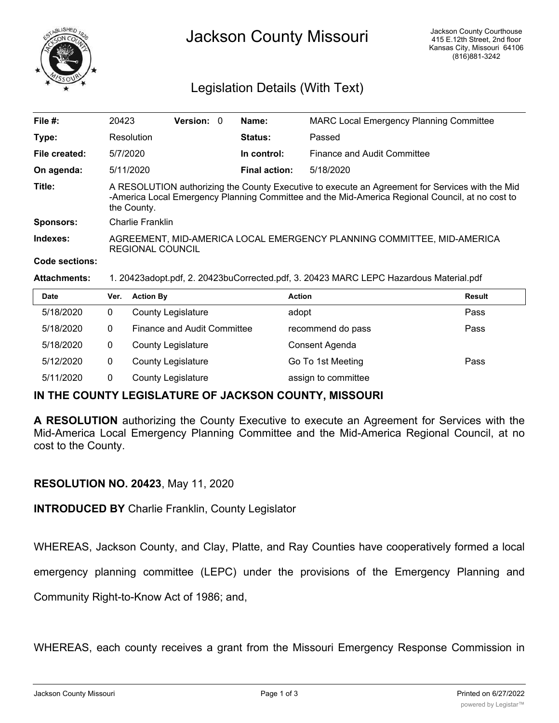

# Jackson County Missouri

# Legislation Details (With Text)

| File $#$ :            | 20423                                                                                                                                                                                                             | Version: 0 |  | Name:                | <b>MARC Local Emergency Planning Committee</b> |  |  |
|-----------------------|-------------------------------------------------------------------------------------------------------------------------------------------------------------------------------------------------------------------|------------|--|----------------------|------------------------------------------------|--|--|
| Type:                 | Resolution                                                                                                                                                                                                        |            |  | <b>Status:</b>       | Passed                                         |  |  |
| File created:         | 5/7/2020                                                                                                                                                                                                          |            |  | In control:          | Finance and Audit Committee                    |  |  |
| On agenda:            | 5/11/2020                                                                                                                                                                                                         |            |  | <b>Final action:</b> | 5/18/2020                                      |  |  |
| Title:                | A RESOLUTION authorizing the County Executive to execute an Agreement for Services with the Mid<br>-America Local Emergency Planning Committee and the Mid-America Regional Council, at no cost to<br>the County. |            |  |                      |                                                |  |  |
| <b>Sponsors:</b>      | Charlie Franklin                                                                                                                                                                                                  |            |  |                      |                                                |  |  |
| Indexes:              | AGREEMENT, MID-AMERICA LOCAL EMERGENCY PLANNING COMMITTEE, MID-AMERICA<br><b>REGIONAL COUNCIL</b>                                                                                                                 |            |  |                      |                                                |  |  |
| <b>Code sections:</b> |                                                                                                                                                                                                                   |            |  |                      |                                                |  |  |

#### **Attachments:** 1. 20423adopt.pdf, 2. 20423buCorrected.pdf, 3. 20423 MARC LEPC Hazardous Material.pdf

| <b>Date</b> | Ver. | <b>Action By</b>                   | <b>Action</b>       | <b>Result</b> |
|-------------|------|------------------------------------|---------------------|---------------|
| 5/18/2020   |      | <b>County Legislature</b>          | adopt               | Pass          |
| 5/18/2020   | 0    | <b>Finance and Audit Committee</b> | recommend do pass   | Pass          |
| 5/18/2020   |      | <b>County Legislature</b>          | Consent Agenda      |               |
| 5/12/2020   | 0    | <b>County Legislature</b>          | Go To 1st Meeting   | Pass          |
| 5/11/2020   |      | <b>County Legislature</b>          | assign to committee |               |

## **IN THE COUNTY LEGISLATURE OF JACKSON COUNTY, MISSOURI**

**A RESOLUTION** authorizing the County Executive to execute an Agreement for Services with the Mid-America Local Emergency Planning Committee and the Mid-America Regional Council, at no cost to the County.

## **RESOLUTION NO. 20423**, May 11, 2020

**INTRODUCED BY** Charlie Franklin, County Legislator

WHEREAS, Jackson County, and Clay, Platte, and Ray Counties have cooperatively formed a local

emergency planning committee (LEPC) under the provisions of the Emergency Planning and

Community Right-to-Know Act of 1986; and,

WHEREAS, each county receives a grant from the Missouri Emergency Response Commission in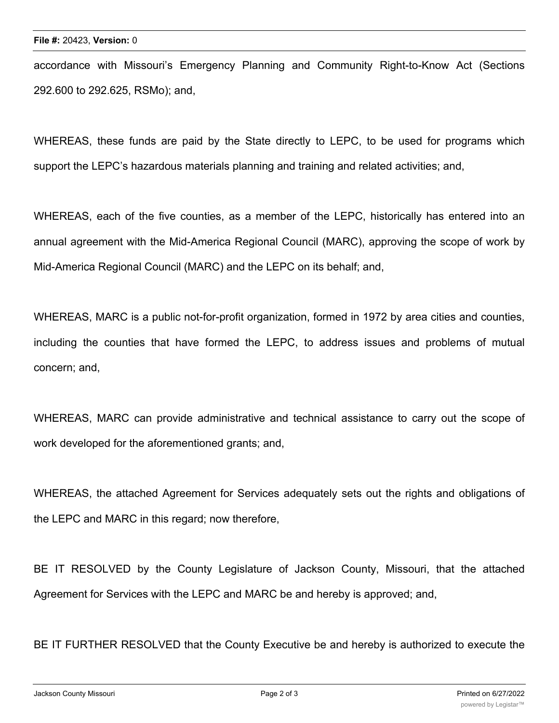accordance with Missouri's Emergency Planning and Community Right-to-Know Act (Sections 292.600 to 292.625, RSMo); and,

WHEREAS, these funds are paid by the State directly to LEPC, to be used for programs which support the LEPC's hazardous materials planning and training and related activities; and,

WHEREAS, each of the five counties, as a member of the LEPC, historically has entered into an annual agreement with the Mid-America Regional Council (MARC), approving the scope of work by Mid-America Regional Council (MARC) and the LEPC on its behalf; and,

WHEREAS, MARC is a public not-for-profit organization, formed in 1972 by area cities and counties, including the counties that have formed the LEPC, to address issues and problems of mutual concern; and,

WHEREAS, MARC can provide administrative and technical assistance to carry out the scope of work developed for the aforementioned grants; and,

WHEREAS, the attached Agreement for Services adequately sets out the rights and obligations of the LEPC and MARC in this regard; now therefore,

BE IT RESOLVED by the County Legislature of Jackson County, Missouri, that the attached Agreement for Services with the LEPC and MARC be and hereby is approved; and,

BE IT FURTHER RESOLVED that the County Executive be and hereby is authorized to execute the